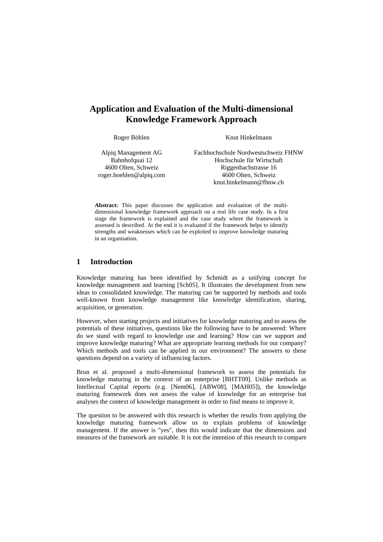# **Application and Evaluation of the Multi-dimensional Knowledge Framework Approach**

Roger Böhlen

Knut Hinkelmann

Alpiq Management AG Bahnhofquai 12 4600 Olten, Schweiz roger.boehlen@alpiq.com Fachhochschule Nordwestschweiz FHNW Hochschule für Wirtschaft Riggenbachstrasse 16 4600 Olten, Schweiz knut.hinkelmann@fhnw.ch

**Abstract:** This paper discusses the application and evaluation of the multidimensional knowledge framework approach on a real life case study. In a first stage the framework is explained and the case study where the framework is assessed is described. At the end it is evaluated if the framework helps to identify strengths and weaknesses which can be exploited to improve knowledge maturing in an organisation.

# **1 Introduction**

Knowledge maturing has been identified by Schmidt as a unifying concept for knowledge management and learning [Sch05]. It illustrates the development from new ideas to consolidated knowledge. The maturing can be supported by methods and tools well-known from knowledge management like knowledge identification, sharing, acquisition, or generation.

However, when starting projects and initiatives for knowledge maturing and to assess the potentials of these initiatives, questions like the following have to be answered: Where do we stand with regard to knowledge use and learning? How can we support and improve knowledge maturing? What are appropriate learning methods for our company? Which methods and tools can be applied in our environment? The answers to these questions depend on a variety of influencing factors.

Brun et al. proposed a multi-dimensional framework to assess the potentials for knowledge maturing in the context of an enterprise [BHTT09]. Unlike methods as Intellectual Capital reports (e.g. [Nem06], [ABW08], [MAH05]), the knowledge maturing framework does not assess the value of knowledge for an enterprise but analyses the context of knowledge management in order to find means to improve it.

The question to be answered with this research is whether the results from applying the knowledge maturing framework allow us to explain problems of knowledge management. If the answer is "yes", then this would indicate that the dimensions and measures of the framework are suitable. It is not the intention of this research to compare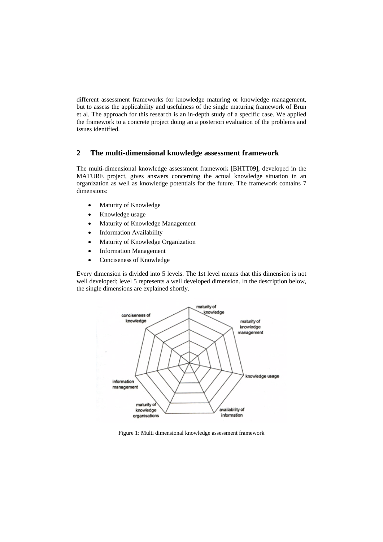different assessment frameworks for knowledge maturing or knowledge management, but to assess the applicability and usefulness of the single maturing framework of Brun et al. The approach for this research is an in-depth study of a specific case. We applied the framework to a concrete project doing an a posteriori evaluation of the problems and issues identified.

# **2 The multi-dimensional knowledge assessment framework**

The multi-dimensional knowledge assessment framework [BHTT09], developed in the MATURE project, gives answers concerning the actual knowledge situation in an organization as well as knowledge potentials for the future. The framework contains 7 dimensions:

- Maturity of Knowledge
- Knowledge usage
- Maturity of Knowledge Management
- Information Availability
- Maturity of Knowledge Organization
- Information Management
- Conciseness of Knowledge

Every dimension is divided into 5 levels. The 1st level means that this dimension is not well developed; level 5 represents a well developed dimension. In the description below, the single dimensions are explained shortly.



Figure 1: Multi dimensional knowledge assessment framework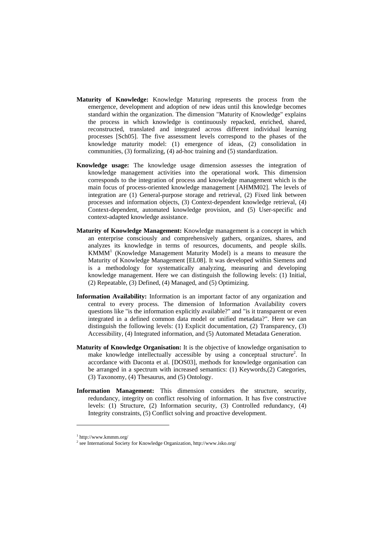- **Maturity of Knowledge:** Knowledge Maturing represents the process from the emergence, development and adoption of new ideas until this knowledge becomes standard within the organization. The dimension "Maturity of Knowledge" explains the process in which knowledge is continuously repacked, enriched, shared, reconstructed, translated and integrated across different individual learning processes [Sch05]. The five assessment levels correspond to the phases of the knowledge maturity model: (1) emergence of ideas, (2) consolidation in communities, (3) formalizing, (4) ad-hoc training and (5) standardization.
- **Knowledge usage:** The knowledge usage dimension assesses the integration of knowledge management activities into the operational work. This dimension corresponds to the integration of process and knowledge management which is the main focus of process-oriented knowledge management [AHMM02]. The levels of integration are (1) General-purpose storage and retrieval, (2) Fixed link between processes and information objects, (3) Context-dependent knowledge retrieval, (4) Context-dependent, automated knowledge provision, and (5) User-specific and context-adapted knowledge assistance.
- **Maturity of Knowledge Management:** Knowledge management is a concept in which an enterprise consciously and comprehensively gathers, organizes, shares, and analyzes its knowledge in terms of resources, documents, and people skills. KMMM1 (Knowledge Management Maturity Model) is a means to measure the Maturity of Knowledge Management [EL08]. It was developed within Siemens and is a methodology for systematically analyzing, measuring and developing knowledge management. Here we can distinguish the following levels: (1) Initial, (2) Repeatable, (3) Defined, (4) Managed, and (5) Optimizing.
- **Information Availability:** Information is an important factor of any organization and central to every process. The dimension of Information Availability covers questions like "is the information explicitly available?" and "is it transparent or even integrated in a defined common data model or unified metadata?". Here we can distinguish the following levels: (1) Explicit documentation, (2) Transparency, (3) Accessibility, (4) Integrated information, and (5) Automated Metadata Generation.
- **Maturity of Knowledge Organisation:** It is the objective of knowledge organisation to make knowledge intellectually accessible by using a conceptual structure<sup>2</sup>. In accordance with Daconta et al. [DOS03], methods for knowledge organisation can be arranged in a spectrum with increased semantics: (1) Keywords,(2) Categories, (3) Taxonomy, (4) Thesaurus, and (5) Ontology.
- **Information Management:** This dimension considers the structure, security, redundancy, integrity on conflict resolving of information. It has five constructive levels: (1) Structure, (2) Information security, (3) Controlled redundancy, (4) Integrity constraints, (5) Conflict solving and proactive development.

 $\overline{a}$ 

<sup>1</sup> http://www.kmmm.org/

<sup>&</sup>lt;sup>2</sup> see International Society for Knowledge Organization, http://www.isko.org/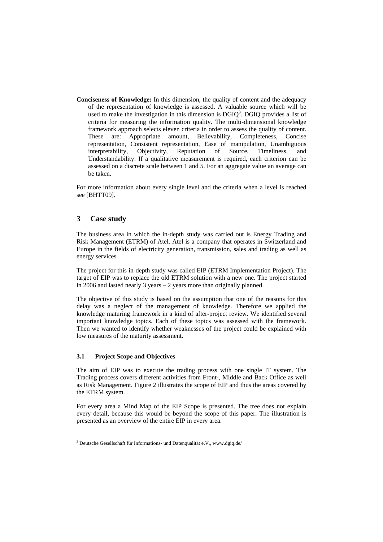**Conciseness of Knowledge:** In this dimension, the quality of content and the adequacy of the representation of knowledge is assessed. A valuable source which will be used to make the investigation in this dimension is  $DGIQ<sup>3</sup>$ . DGIQ provides a list of criteria for measuring the information quality. The multi-dimensional knowledge framework approach selects eleven criteria in order to assess the quality of content. These are: Appropriate amount, Believability, Completeness, Concise representation, Consistent representation, Ease of manipulation, Unambiguous interpretability, Objectivity, Reputation of Source, Timeliness, and Understandability. If a qualitative measurement is required, each criterion can be assessed on a discrete scale between 1 and 5. For an aggregate value an average can be taken.

For more information about every single level and the criteria when a level is reached see [BHTT09].

# **3 Case study**

The business area in which the in-depth study was carried out is Energy Trading and Risk Management (ETRM) of Atel. Atel is a company that operates in Switzerland and Europe in the fields of electricity generation, transmission, sales and trading as well as energy services.

The project for this in-depth study was called EIP (ETRM Implementation Project). The target of EIP was to replace the old ETRM solution with a new one. The project started in 2006 and lasted nearly 3 years – 2 years more than originally planned.

The objective of this study is based on the assumption that one of the reasons for this delay was a neglect of the management of knowledge. Therefore we applied the knowledge maturing framework in a kind of after-project review. We identified several important knowledge topics. Each of these topics was assessed with the framework. Then we wanted to identify whether weaknesses of the project could be explained with low measures of the maturity assessment.

#### **3.1 Project Scope and Objectives**

 $\overline{a}$ 

The aim of EIP was to execute the trading process with one single IT system. The Trading process covers different activities from Front-, Middle and Back Office as well as Risk Management. Figure 2 illustrates the scope of EIP and thus the areas covered by the ETRM system.

For every area a Mind Map of the EIP Scope is presented. The tree does not explain every detail, because this would be beyond the scope of this paper. The illustration is presented as an overview of the entire EIP in every area.

<sup>&</sup>lt;sup>3</sup> Deutsche Gesellschaft für Informations- und Datenqualität e.V., www.dgiq.de/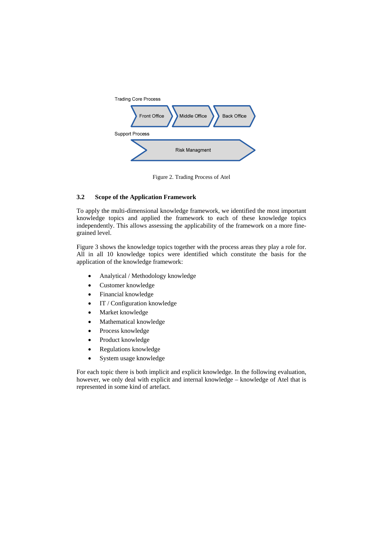

Figure 2. Trading Process of Atel

## **3.2 Scope of the Application Framework**

To apply the multi-dimensional knowledge framework, we identified the most important knowledge topics and applied the framework to each of these knowledge topics independently. This allows assessing the applicability of the framework on a more finegrained level.

Figure 3 shows the knowledge topics together with the process areas they play a role for. All in all 10 knowledge topics were identified which constitute the basis for the application of the knowledge framework:

- Analytical / Methodology knowledge
- Customer knowledge
- Financial knowledge
- IT / Configuration knowledge
- Market knowledge
- Mathematical knowledge
- Process knowledge
- Product knowledge
- Regulations knowledge
- System usage knowledge

For each topic there is both implicit and explicit knowledge. In the following evaluation, however, we only deal with explicit and internal knowledge – knowledge of Atel that is represented in some kind of artefact.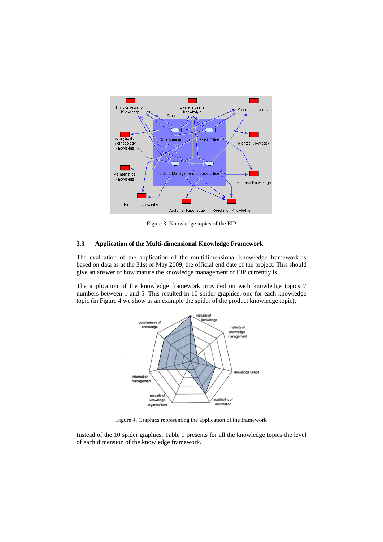

Figure 3: Knowledge topics of the EIP

#### **3.3 Application of the Multi-dimensional Knowledge Framework**

The evaluation of the application of the multidimensional knowledge framework is based on data as at the 31st of May 2009, the official end date of the project. This should give an answer of how mature the knowledge management of EIP currently is.

The application of the knowledge framework provided on each knowledge topics 7 numbers between 1 and 5. This resulted in 10 spider graphics, one for each knowledge topic (in Figure 4 we show as an example the spider of the product knowledge topic).



Figure 4. Graphics representing the application of the framework

Instead of the 10 spider graphics, Table 1 presents for all the knowledge topics the level of each dimension of the knowledge framework.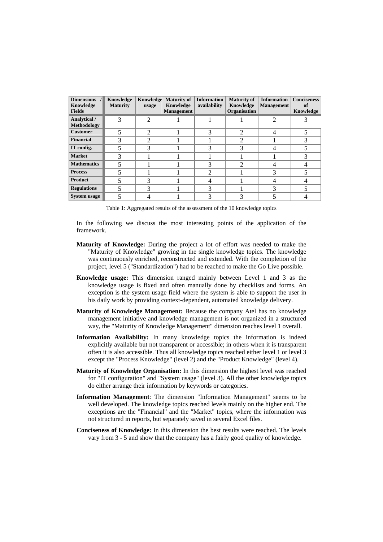| Dimensions /<br>Knowledge<br><b>Fields</b> | Knowledge<br><b>Maturity</b> | Knowledge<br>usage          | <b>Maturity of</b><br>Knowledge<br><b>Management</b> | <b>Information</b><br>availability | <b>Maturity of</b><br>Knowledge<br>Organisation | <b>Information</b><br><b>Management</b> | <b>Conciseness</b><br>of<br>Knowledge |
|--------------------------------------------|------------------------------|-----------------------------|------------------------------------------------------|------------------------------------|-------------------------------------------------|-----------------------------------------|---------------------------------------|
| Analytical /<br>Methodology                | 3                            | $\mathfrak{D}$              |                                                      |                                    |                                                 |                                         |                                       |
| <b>Customer</b>                            |                              | $\mathcal{D}_{\mathcal{L}}$ |                                                      | 3                                  | っ                                               | 4                                       |                                       |
| <b>Financial</b>                           | 3                            | $\mathfrak{D}$              |                                                      |                                    | 2                                               |                                         |                                       |
| IT config.                                 |                              |                             |                                                      |                                    |                                                 |                                         |                                       |
| <b>Market</b>                              |                              |                             |                                                      |                                    |                                                 |                                         |                                       |
| <b>Mathematics</b>                         |                              |                             |                                                      |                                    | ∍                                               |                                         |                                       |
| <b>Process</b>                             |                              |                             |                                                      | ↑                                  |                                                 |                                         |                                       |
| <b>Product</b>                             |                              |                             |                                                      |                                    |                                                 |                                         |                                       |
| <b>Regulations</b>                         |                              | 3                           |                                                      | 3                                  |                                                 |                                         |                                       |
| <b>System usage</b>                        |                              |                             |                                                      |                                    |                                                 |                                         |                                       |

Table 1: Aggregated results of the assessment of the 10 knowledge topics

In the following we discuss the most interesting points of the application of the framework.

- **Maturity of Knowledge:** During the project a lot of effort was needed to make the "Maturity of Knowledge" growing in the single knowledge topics. The knowledge was continuously enriched, reconstructed and extended. With the completion of the project, level 5 ("Standardization") had to be reached to make the Go Live possible.
- **Knowledge usage:** This dimension ranged mainly between Level 1 and 3 as the knowledge usage is fixed and often manually done by checklists and forms. An exception is the system usage field where the system is able to support the user in his daily work by providing context-dependent, automated knowledge delivery.
- **Maturity of Knowledge Management:** Because the company Atel has no knowledge management initiative and knowledge management is not organized in a structured way, the "Maturity of Knowledge Management" dimension reaches level 1 overall.
- **Information Availability:** In many knowledge topics the information is indeed explicitly available but not transparent or accessible; in others when it is transparent often it is also accessible. Thus all knowledge topics reached either level 1 or level 3 except the "Process Knowledge" (level 2) and the "Product Knowledge" (level 4).
- **Maturity of Knowledge Organisation:** In this dimension the highest level was reached for "IT configuration" and "System usage" (level 3). All the other knowledge topics do either arrange their information by keywords or categories.
- **Information Management**: The dimension "Information Management" seems to be well developed. The knowledge topics reached levels mainly on the higher end. The exceptions are the "Financial" and the "Market" topics, where the information was not structured in reports, but separately saved in several Excel files.
- **Conciseness of Knowledge:** In this dimension the best results were reached. The levels vary from 3 - 5 and show that the company has a fairly good quality of knowledge.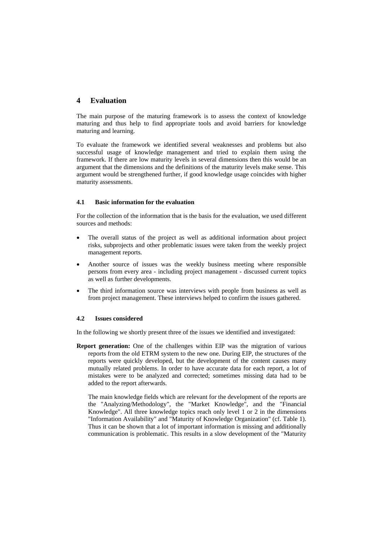# **4 Evaluation**

The main purpose of the maturing framework is to assess the context of knowledge maturing and thus help to find appropriate tools and avoid barriers for knowledge maturing and learning.

To evaluate the framework we identified several weaknesses and problems but also successful usage of knowledge management and tried to explain them using the framework. If there are low maturity levels in several dimensions then this would be an argument that the dimensions and the definitions of the maturity levels make sense. This argument would be strengthened further, if good knowledge usage coincides with higher maturity assessments.

## **4.1 Basic information for the evaluation**

For the collection of the information that is the basis for the evaluation, we used different sources and methods:

- The overall status of the project as well as additional information about project risks, subprojects and other problematic issues were taken from the weekly project management reports.
- Another source of issues was the weekly business meeting where responsible persons from every area - including project management - discussed current topics as well as further developments.
- The third information source was interviews with people from business as well as from project management. These interviews helped to confirm the issues gathered.

#### **4.2 Issues considered**

In the following we shortly present three of the issues we identified and investigated:

**Report generation:** One of the challenges within EIP was the migration of various reports from the old ETRM system to the new one. During EIP, the structures of the reports were quickly developed, but the development of the content causes many mutually related problems. In order to have accurate data for each report, a lot of mistakes were to be analyzed and corrected; sometimes missing data had to be added to the report afterwards.

The main knowledge fields which are relevant for the development of the reports are the "Analyzing/Methodology", the "Market Knowledge", and the "Financial Knowledge". All three knowledge topics reach only level 1 or 2 in the dimensions "Information Availability" and "Maturity of Knowledge Organization" (cf. Table 1). Thus it can be shown that a lot of important information is missing and additionally communication is problematic. This results in a slow development of the "Maturity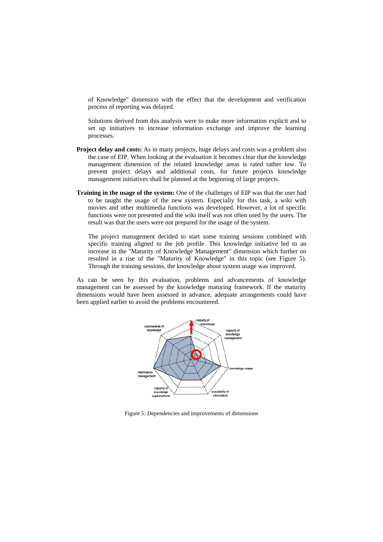of Knowledge" dimension with the effect that the development and verification process of reporting was delayed.

Solutions derived from this analysis were to make more information explicit and to set up initiatives to increase information exchange and improve the learning processes.

- **Project delay and costs:** As in many projects, huge delays and costs was a problem also the case of EIP. When looking at the evaluation it becomes clear that the knowledge management dimension of the related knowledge areas is rated rather low. To prevent project delays and additional costs, for future projects knowledge management initiatives shall be planned at the beginning of large projects.
- **Training in the usage of the system:** One of the challenges of EIP was that the user had to be taught the usage of the new system. Especially for this task, a wiki with movies and other multimedia functions was developed. However, a lot of specific functions were not presented and the wiki itself was not often used by the users. The result was that the users were not prepared for the usage of the system.

The project management decided to start some training sessions combined with specific training aligned to the job profile. This knowledge initiative led to an increase in the "Maturity of Knowledge Management" dimension which further on resulted in a rise of the "Maturity of Knowledge" in this topic (see Figure 5). Through the training sessions, the knowledge about system usage was improved.

As can be seen by this evaluation, problems and advancements of knowledge management can be assessed by the knowledge maturing framework. If the maturity dimensions would have been assessed in advance, adequate arrangements could have been applied earlier to avoid the problems encountered.



Figure 5: Dependencies and improvements of dimensions